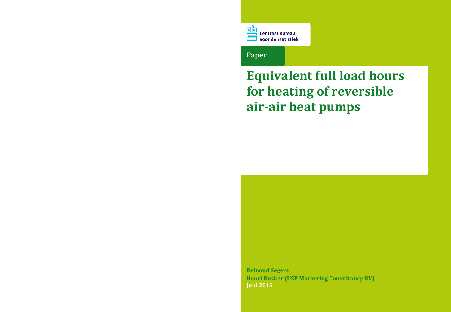

### **Paper**

# **Equivalent full load hours for heating of reversible air-air heat pumps**

**Reinoud Segers Henri Busker (USP Marketing Consultancy BV) Juni 2015**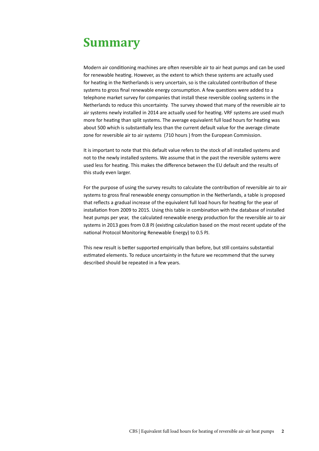### <span id="page-1-0"></span>**Summary**

Modern air conditioning machines are often reversible air to air heat pumps and can be used for renewable heating. However, as the extent to which these systems are actually used for heating in the Netherlands is very uncertain, so is the calculated contribution of these systems to gross final renewable energy consumption. A few questions were added to a telephone market survey for companies that install these reversible cooling systems in the Netherlands to reduce this uncertainty. The survey showed that many of the reversible air to air systems newly installed in 2014 are actually used for heating. VRF systems are used much more for heating than split systems. The average equivalent full load hours for heating was about 500 which is substantially less than the current default value for the average climate zone for reversible air to air systems (710 hours ) from the European Commission.

It is important to note that this default value refers to the stock of all installed systems and not to the newly installed systems. We assume that in the past the reversible systems were used less for heating. This makes the difference between the EU default and the results of this study even larger.

For the purpose of using the survey results to calculate the contribution of reversible air to air systems to gross final renewable energy consumption in the Netherlands, a table is proposed that reflects a gradual increase of the equivalent full load hours for heating for the year of installation from 2009 to 2015. Using this table in combination with the database of installed heat pumps per year, the calculated renewable energy production for the reversible air to air systems in 2013 goes from 0.8 PJ (existing calculation based on the most recent update of the national Protocol Monitoring Renewable Energy) to 0.5 PJ.

This new result is better supported empirically than before, but still contains substantial estimated elements. To reduce uncertainty in the future we recommend that the survey described should be repeated in a few years.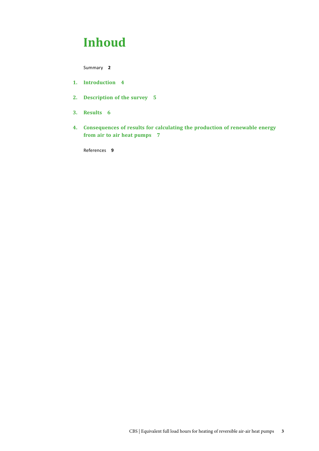### **Inhoud**

[Summary](#page-1-0) **2**

- **1. [Introduction 4](#page-3-0)**
- **2. [Description of the survey 5](#page-4-0)**
- **3. [Results 6](#page-5-0)**
- **4. [Consequences of results for calculating the production of renewable energy](#page-6-0) [from air to air heat pumps 7](#page-6-0)**

[References](#page-8-0) **9**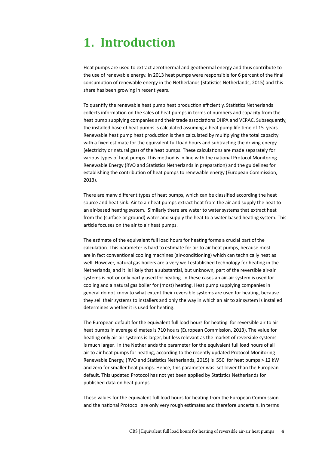### <span id="page-3-0"></span>**1. Introduction**

Heat pumps are used to extract aerothermal and geothermal energy and thus contribute to the use of renewable energy. In 2013 heat pumps were responsible for 6 percent of the final consumption of renewable energy in the Netherlands (Statistics Netherlands, 2015) and this share has been growing in recent years.

To quantify the renewable heat pump heat production efficiently, Statistics Netherlands collects information on the sales of heat pumps in terms of numbers and capacity from the heat pump supplying companies and their trade associations DHPA and VERAC. Subsequently, the installed base of heat pumps is calculated assuming a heat pump life time of 15 years. Renewable heat pump heat production is then calculated by multiplying the total capacity with a fixed estimate for the equivalent full load hours and subtracting the driving energy (electricity or natural gas) of the heat pumps. These calculations are made separately for various types of heat pumps. This method is in line with the national Protocol Monitoring Renewable Energy (RVO and Statistics Netherlands in preparation) and the guidelines for establishing the contribution of heat pumps to renewable energy (European Commission, 2013).

There are many different types of heat pumps, which can be classified according the heat source and heat sink. Air to air heat pumps extract heat from the air and supply the heat to an air-based heating system. Similarly there are water to water systems that extract heat from the (surface or ground) water and supply the heat to a water-based heating system. This article focuses on the air to air heat pumps.

The estimate of the equivalent full load hours for heating forms a crucial part of the calculation. This parameter is hard to estimate for air to air heat pumps, because most are in fact conventional cooling machines (air-conditioning) which can technically heat as well. However, natural gas boilers are a very well established technology for heating in the Netherlands, and it is likely that a substantial, but unknown, part of the reversible air-air systems is not or only partly used for heating. In these cases an air-air system is used for cooling and a natural gas boiler for (most) heating. Heat pump supplying companies in general do not know to what extent their reversible systems are used for heating, because they sell their systems to installers and only the way in which an air to air system is installed determines whether it is used for heating.

The European default for the equivalent full load hours for heating for reversible air to air heat pumps in average climates is 710 hours (European Commission, 2013). The value for heating only air-air systems is larger, but less relevant as the market of reversible systems is much larger. In the Netherlands the parameter for the equivalent full load hours of all air to air heat pumps for heating, according to the recently updated Protocol Monitoring Renewable Energy, (RVO and Statistics Netherlands, 2015) is 550 for heat pumps > 12 kW and zero for smaller heat pumps. Hence, this parameter was set lower than the European default. This updated Protocol has not yet been applied by Statistics Netherlands for published data on heat pumps.

These values for the equivalent full load hours for heating from the European Commission and the national Protocol are only very rough estimates and therefore uncertain. In terms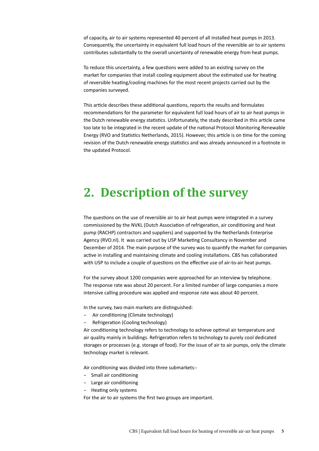<span id="page-4-0"></span>of capacity, air to air systems represented 40 percent of all installed heat pumps in 2013. Consequently, the uncertainty in equivalent full load hours of the reversible air to air systems contributes substantially to the overall uncertainty of renewable energy from heat pumps.

To reduce this uncertainty, a few questions were added to an existing survey on the market for companies that install cooling equipment about the estimated use for heating of reversible heating/cooling machines for the most recent projects carried out by the companies surveyed.

This article describes these additional questions, reports the results and formulates recommendations for the parameter for equivalent full load hours of air to air heat pumps in the Dutch renewable energy statistics. Unfortunately, the study described in this article came too late to be integrated in the recent update of the national Protocol Monitoring Renewable Energy (RVO and Statistics Netherlands, 2015). However, this article is on time for the coming revision of the Dutch renewable energy statistics and was already announced in a footnote in the updated Protocol.

### **2. Description of the survey**

The questions on the use of reversible air to air heat pumps were integrated in a survey commissioned by the NVKL (Dutch Association of refrigeration, air conditioning and heat pump (RACHP) contractors and suppliers) and supported by the Netherlands Enterprise Agency (RVO.nl). It was carried out by USP Marketing Consultancy in November and December of 2014. The main purpose of the survey was to quantify the market for companies active in installing and maintaining climate and cooling installations. CBS has collaborated with USP to include a couple of questions on the effective use of air-to-air heat pumps.

For the survey about 1200 companies were approached for an interview by telephone. The response rate was about 20 percent. For a limited number of large companies a more intensive calling procedure was applied and response rate was about 40 percent.

In the survey, two main markets are distinguished:

- − Air conditioning (Climate technology)
- − Refrigeration (Cooling technology)

Air conditioning technology refers to technology to achieve optimal air temperature and air quality mainly in buildings. Refrigeration refers to technology to purely cool dedicated storages or processes (e.g. storage of food). For the issue of air to air pumps, only the climate technology market is relevant.

Air conditioning was divided into three submarkets:-

- − Small air conditioning
- − Large air conditioning
- − Heating only systems

For the air to air systems the first two groups are important.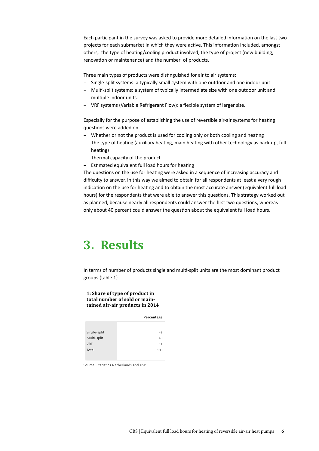<span id="page-5-0"></span>Each participant in the survey was asked to provide more detailed information on the last two projects for each submarket in which they were active. This information included, amongst others, the type of heating/cooling product involved, the type of project (new building, renovation or maintenance) and the number of products.

Three main types of products were distinguished for air to air systems:

- − Single-split systems: a typically small system with one outdoor and one indoor unit
- − Multi-split systems: a system of typically intermediate size with one outdoor unit and multiple indoor units.
- − VRF systems (Variable Refrigerant Flow): a flexible system of larger size.

Especially for the purpose of establishing the use of reversible air-air systems for heating questions were added on

- Whether or not the product is used for cooling only or both cooling and heating
- − The type of heating (auxiliary heating, main heating with other technology as back-up, full heating)
- − Thermal capacity of the product
- − Estimated equivalent full load hours for heating

The questions on the use for heating were asked in a sequence of increasing accuracy and difficulty to answer. In this way we aimed to obtain for all respondents at least a very rough indication on the use for heating and to obtain the most accurate answer (equivalent full load hours) for the respondents that were able to answer this questions. This strategy worked out as planned, because nearly all respondents could answer the first two questions, whereas only about 40 percent could answer the question about the equivalent full load hours.

### **3. Results**

In terms of number of products single and multi-split units are the most dominant product groups (table 1).

#### **1: Share of type of product in total number of sold or maintained air-air products in 2014**

|              | Percentage |
|--------------|------------|
|              |            |
| Single-split | 49         |
| Multi-split  | 40         |
| <b>VRF</b>   | 11         |
| Total        | 100        |
|              |            |

Source: Statistics Netherlands and USP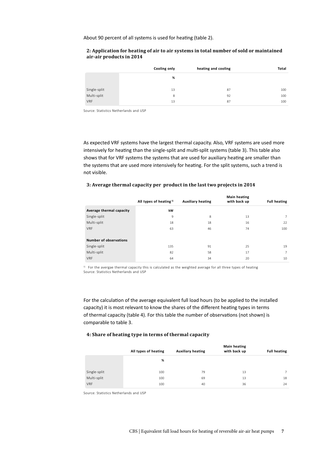<span id="page-6-0"></span>About 90 percent of all systems is used for heating (table 2).

#### **2: Application for heating of air to air systems in total number of sold or maintained air-air products in 2014**

|                             | Cooling only | heating and cooling | Total |
|-----------------------------|--------------|---------------------|-------|
|                             | %            |                     |       |
|                             | 13           | 87                  | 100   |
| Single-split<br>Multi-split | 8            | 92                  | 100   |
| <b>VRF</b>                  | 13           | 87                  | 100   |

Source: Statistics Netherlands and USP

As expected VRF systems have the largest thermal capacity. Also, VRF systems are used more intensively for heating than the single-split and multi-split systems (table 3). This table also shows that for VRF systems the systems that are used for auxiliary heating are smaller than the systems that are used more intensively for heating. For the split systems, such a trend is not visible.

#### **3: Average thermal capacity per product in the last two projects in 2014**

|                          | All types of heating <sup>1)</sup> | <b>Auxiliary heating</b> | <b>Main heating</b><br>with back up | <b>Full heating</b> |
|--------------------------|------------------------------------|--------------------------|-------------------------------------|---------------------|
| Average thermal capacity | kW                                 |                          |                                     |                     |
| Single-split             | 9                                  | 8                        | 13                                  | $7^{\circ}$         |
| Multi-split              | 18                                 | 18                       | 16                                  | 22                  |
| <b>VRF</b>               | 63                                 | 46                       | 74                                  | 100                 |
|                          |                                    |                          |                                     |                     |
| Number of observations   |                                    |                          |                                     |                     |
| Single-split             | 135                                | 91                       | 25                                  | 19                  |
| Multi-split              | 82                                 | 58                       | 17                                  | 7                   |
| <b>VRF</b>               | 64                                 | 34                       | 20                                  | 10                  |

<sup>1)</sup> For the avergae thermal capacity this is calculated as the weighted average for all three types of heating Source: Statistics Netherlands and USP

For the calculation of the average equivalent full load hours (to be applied to the installed capacity) it is most relevant to know the shares of the different heating types in terms of thermal capacity (table 4). For this table the number of observations (not shown) is comparable to table 3.

#### **4: Share of heating type in terms of thermal capacity**

|              | All types of heating | <b>Auxiliary heating</b> | <b>Main heating</b><br>with back up | <b>Full heating</b> |
|--------------|----------------------|--------------------------|-------------------------------------|---------------------|
|              | %                    |                          |                                     |                     |
| Single-split | 100                  | 79                       | 13                                  | $\overline{7}$      |
| Multi-split  | 100                  | 69                       | 13                                  | 18                  |
| <b>VRF</b>   | 100                  | 40                       | 36                                  | 24                  |

Source: Statistics Netherlands and USP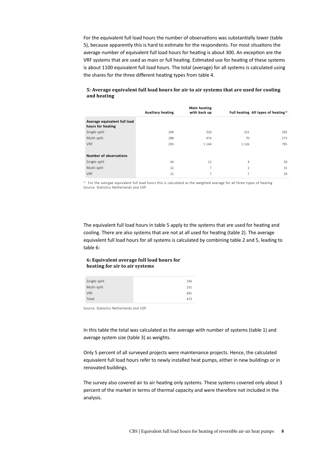For the equivalent full load hours the number of observations was substantially lower (table 5), because apparently this is hard to estimate for the respondents. For most situations the average number of equivalent full load hours for heating is about 300. An exception are the VRF systems that are used as main or full heating. Estimated use for heating of these systems is about 1100 equivalent full load hours. The total (average) for all systems is calculated using the shares for the three different heating types from table 4.

|                                                   | <b>Auxiliary heating</b> | <b>Main heating</b><br>with back up | Full heating All types of heating <sup>1)</sup> |     |
|---------------------------------------------------|--------------------------|-------------------------------------|-------------------------------------------------|-----|
| Average equivalent full load<br>hours for heating |                          |                                     |                                                 |     |
| Single-split                                      | 294                      | 320                                 | 251                                             | 295 |
| Multi-split                                       | 288                      | 474                                 | 70                                              | 273 |
| <b>VRF</b>                                        | 293                      | 1 1 4 4                             | 1 1 2 6                                         | 795 |
|                                                   |                          |                                     |                                                 |     |
| <b>Number of observations</b>                     |                          |                                     |                                                 |     |
| Single-split                                      | 34                       | 12                                  | $\overline{4}$                                  | 50  |
| Multi-split                                       | 22                       | 7                                   | 2                                               | 31  |
| <b>VRF</b>                                        | 15                       | 7                                   | 7                                               | 29  |

#### **5: Average equivalent full load hours for air to air systems that are used for cooling and heating**

<sup>1)</sup> For the avergae equivalent full load hours this is calculated as the weighted average for all three types of heating Source: Statistics Netherlands and USP

The equivalent full load hours in table 5 apply to the systems that are used for heating and cooling. There are also systems that are not at all used for heating (table 2). The average equivalent full load hours for all systems is calculated by combining table 2 and 5, leading to table 6:

#### **6: Equivalent average full load hours for heating for air to air systems**

| Single-split | 256 |
|--------------|-----|
| Multi-split  | 251 |
| <b>VRF</b>   | 691 |
| Total        | 473 |

Source: Statistics Netherlands and USP

In this table the total was calculated as the average with number of systems (table 1) and average system size (table 3) as weights.

Only 5 percent of all surveyed projects were maintenance projects. Hence, the calculated equivalent full load hours refer to newly installed heat pumps, either in new buildings or in renovated buildings.

The survey also covered air to air heating only systems. These systems covered only about 3 percent of the market in terms of thermal capacity and were therefore not included in the analysis.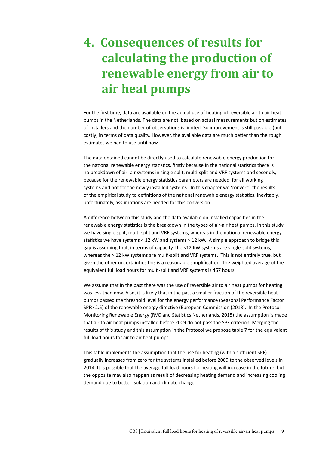## <span id="page-8-0"></span>**4. Consequences of results for calculating the production of renewable energy from air to air heat pumps**

For the first time, data are available on the actual use of heating of reversible air to air heat pumps in the Netherlands. The data are not based on actual measurements but on estimates of installers and the number of observations is limited. So improvement is still possible (but costly) in terms of data quality. However, the available data are much better than the rough estimates we had to use until now.

The data obtained cannot be directly used to calculate renewable energy production for the national renewable energy statistics, firstly because in the national statistics there is no breakdown of air- air systems in single split, multi-split and VRF systems and secondly, because for the renewable energy statistics parameters are needed for all working systems and not for the newly installed systems. In this chapter we 'convert' the results of the empirical study to definitions of the national renewable energy statistics. Inevitably, unfortunately, assumptions are needed for this conversion.

A difference between this study and the data available on installed capacities in the renewable energy statistics is the breakdown in the types of air-air heat pumps. In this study we have single split, multi-split and VRF systems, whereas in the national renewable energy statistics we have systems < 12 kW and systems > 12 kW. A simple approach to bridge this gap is assuming that, in terms of capacity, the <12 KW systems are single-split systems, whereas the > 12 kW systems are multi-split and VRF systems. This is not entirely true, but given the other uncertainties this is a reasonable simplification. The weighted average of the equivalent full load hours for multi-split and VRF systems is 467 hours.

We assume that in the past there was the use of reversible air to air heat pumps for heating was less than now. Also, it is likely that in the past a smaller fraction of the reversible heat pumps passed the threshold level for the energy performance (Seasonal Performance Factor, SPF> 2.5) of the renewable energy directive (European Commission (2013). In the Protocol Monitoring Renewable Energy (RVO and Statistics Netherlands, 2015) the assumption is made that air to air heat pumps installed before 2009 do not pass the SPF criterion. Merging the results of this study and this assumption in the Protocol we propose table 7 for the equivalent full load hours for air to air heat pumps.

This table implements the assumption that the use for heating (with a sufficient SPF) gradually increases from zero for the systems installed before 2009 to the observed levels in 2014. It is possible that the average full load hours for heating will increase in the future, but the opposite may also happen as result of decreasing heating demand and increasing cooling demand due to better isolation and climate change.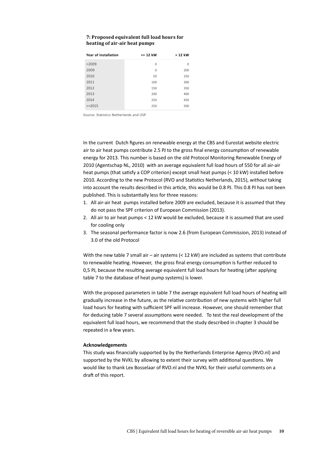#### **7: Proposed equivalent full load hours for heating of air-air heat pumps**

| Year of installation | $\leq$ 12 kW | > 12 kW  |
|----------------------|--------------|----------|
| < 2009               | 0            | $\Omega$ |
| 2009                 | $\Omega$     | 200      |
| 2010                 | 50           | 250      |
| 2011                 | 100          | 300      |
| 2012                 | 150          | 350      |
| 2013                 | 200          | 400      |
| 2014                 | 250          | 450      |
| $>=2015$             | 250          | 500      |

Source: Statistics Netherlands and USP

In the current Dutch figures on renewable energy at the CBS and Eurostat website electric air to air heat pumps contribute 2.5 PJ to the gross final energy consumption of renewable energy for 2013. This number is based on the old Protocol Monitoring Renewable Energy of 2010 (Agentschap NL, 2010) with an average equivalent full load hours of 550 for all air-air heat pumps (that satisfy a COP criterion) except small heat pumps (< 10 kW) installed before 2010. According to the new Protocol (RVO and Statistics Netherlands, 2015), *without* taking into account the results described in this article, this would be 0.8 PJ. This 0.8 PJ has not been published. This is substantially less for three reasons:

- 1. All air-air heat pumps installed before 2009 are excluded, because it is assumed that they do not pass the SPF criterion of European Commission (2013).
- 2. All air to air heat pumps < 12 kW would be excluded, because it is assumed that are used for cooling only
- 3. The seasonal performance factor is now 2.6 (from European Commission, 2013) instead of 3.0 of the old Protocol

With the new table 7 small air – air systems (< 12 kW) are included as systems that contribute to renewable heating. However, the gross final energy consumption is further reduced to 0,5 PJ, because the resulting average equivalent full load hours for heating (after applying table 7 to the database of heat pump systems) is lower.

With the proposed parameters in table 7 the average equivalent full load hours of heating will gradually increase in the future, as the relative contribution of new systems with higher full load hours for heating with sufficient SPF will increase. However, one should remember that for deducing table 7 several assumptions were needed. To test the real development of the equivalent full load hours, we recommend that the study described in chapter 3 should be repeated in a few years.

#### **Acknowledgements**

This study was financially supported by by the Netherlands Enterprise Agency (RVO.nl) and supported by the NVKL by allowing to extent their survey with additional questions. We would like to thank Lex Bosselaar of RVO.nl and the NVKL for their useful comments on a draft of this report.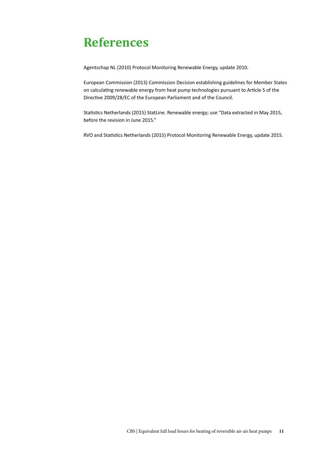### **References**

Agentschap NL (2010) Protocol Monitoring Renewable Energy, update 2010.

European Commission (2013) Commission Decision establishing guidelines for Member States on calculating renewable energy from heat pump technologies pursuant to Article 5 of the Directive 2009/28/EC of the European Parliament and of the Council.

Statistics Netherlands (2015) StatLine. Renewable energy; use "Data extracted in May 2015, before the revision in June 2015."

RVO and Statistics Netherlands (2015) Protocol Monitoring Renewable Energy, update 2015.